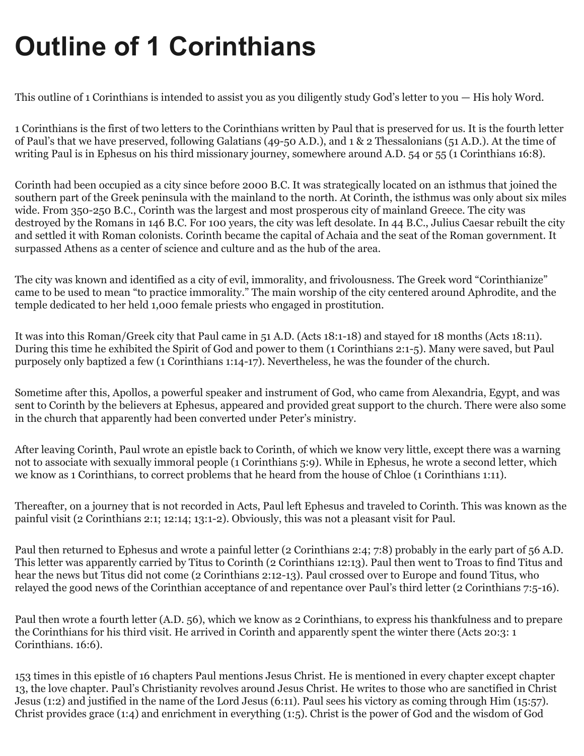# **Outline of 1 Corinthians**

This outline of 1 Corinthians is intended to assist you as you diligently study God's letter to you — His holy Word.

1 Corinthians is the first of two letters to the Corinthians written by Paul that is preserved for us. It is the fourth letter of Paul's that we have preserved, following Galatians (49-50 A.D.), and 1 & 2 Thessalonians (51 A.D.). At the time of writing Paul is in Ephesus on his third missionary journey, somewhere around A.D. 54 or 55 (1 Corinthians 16:8).

Corinth had been occupied as a city since before 2000 B.C. It was strategically located on an isthmus that joined the southern part of the Greek peninsula with the mainland to the north. At Corinth, the isthmus was only about six miles wide. From 350-250 B.C., Corinth was the largest and most prosperous city of mainland Greece. The city was destroyed by the Romans in 146 B.C. For 100 years, the city was left desolate. In 44 B.C., Julius Caesar rebuilt the city and settled it with Roman colonists. Corinth became the capital of Achaia and the seat of the Roman government. It surpassed Athens as a center of science and culture and as the hub of the area.

The city was known and identified as a city of evil, immorality, and frivolousness. The Greek word "Corinthianize" came to be used to mean "to practice immorality." The main worship of the city centered around Aphrodite, and the temple dedicated to her held 1,000 female priests who engaged in prostitution.

It was into this Roman/Greek city that Paul came in 51 A.D. (Acts 18:1-18) and stayed for 18 months (Acts 18:11). During this time he exhibited the Spirit of God and power to them (1 Corinthians 2:1-5). Many were saved, but Paul purposely only baptized a few (1 Corinthians 1:14-17). Nevertheless, he was the founder of the church.

Sometime after this, Apollos, a powerful speaker and instrument of God, who came from Alexandria, Egypt, and was sent to Corinth by the believers at Ephesus, appeared and provided great support to the church. There were also some in the church that apparently had been converted under Peter's ministry.

After leaving Corinth, Paul wrote an epistle back to Corinth, of which we know very little, except there was a warning not to associate with sexually immoral people (1 Corinthians 5:9). While in Ephesus, he wrote a second letter, which we know as 1 Corinthians, to correct problems that he heard from the house of Chloe (1 Corinthians 1:11).

Thereafter, on a journey that is not recorded in Acts, Paul left Ephesus and traveled to Corinth. This was known as the painful visit (2 Corinthians 2:1; 12:14; 13:1-2). Obviously, this was not a pleasant visit for Paul.

Paul then returned to Ephesus and wrote a painful letter (2 Corinthians 2:4; 7:8) probably in the early part of 56 A.D. This letter was apparently carried by Titus to Corinth (2 Corinthians 12:13). Paul then went to Troas to find Titus and hear the news but Titus did not come (2 Corinthians 2:12-13). Paul crossed over to Europe and found Titus, who relayed the good news of the Corinthian acceptance of and repentance over Paul's third letter (2 Corinthians 7:5-16).

Paul then wrote a fourth letter (A.D. 56), which we know as 2 Corinthians, to express his thankfulness and to prepare the Corinthians for his third visit. He arrived in Corinth and apparently spent the winter there (Acts 20:3: 1 Corinthians. 16:6).

153 times in this epistle of 16 chapters Paul mentions Jesus Christ. He is mentioned in every chapter except chapter 13, the love chapter. Paul's Christianity revolves around Jesus Christ. He writes to those who are sanctified in Christ Jesus (1:2) and justified in the name of the Lord Jesus (6:11). Paul sees his victory as coming through Him (15:57). Christ provides grace (1:4) and enrichment in everything (1:5). Christ is the power of God and the wisdom of God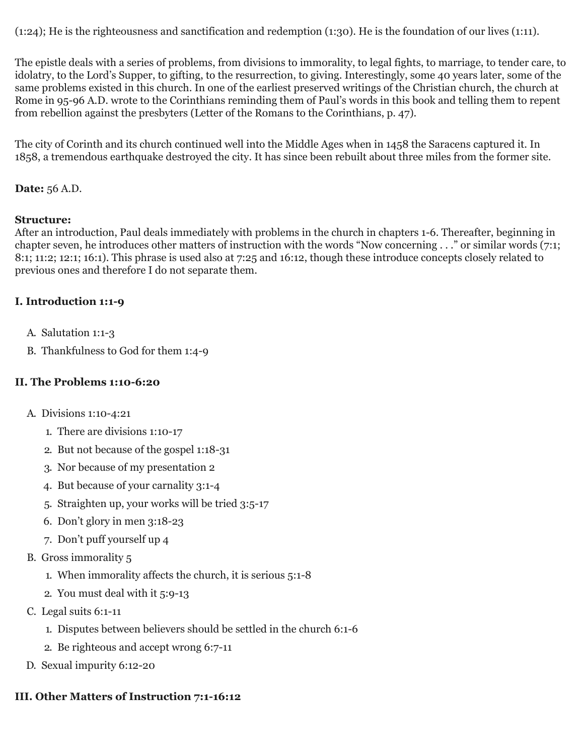(1:24); He is the righteousness and sanctification and redemption (1:30). He is the foundation of our lives (1:11).

The epistle deals with a series of problems, from divisions to immorality, to legal fights, to marriage, to tender care, to idolatry, to the Lord's Supper, to gifting, to the resurrection, to giving. Interestingly, some 40 years later, some of the same problems existed in this church. In one of the earliest preserved writings of the Christian church, the church at Rome in 95-96 A.D. wrote to the Corinthians reminding them of Paul's words in this book and telling them to repent from rebellion against the presbyters (Letter of the Romans to the Corinthians, p. 47).

The city of Corinth and its church continued well into the Middle Ages when in 1458 the Saracens captured it. In 1858, a tremendous earthquake destroyed the city. It has since been rebuilt about three miles from the former site.

#### **Date:** 56 A.D.

#### **Structure:**

After an introduction, Paul deals immediately with problems in the church in chapters 1-6. Thereafter, beginning in chapter seven, he introduces other matters of instruction with the words "Now concerning . . ." or similar words (7:1; 8:1; 11:2; 12:1; 16:1). This phrase is used also at 7:25 and 16:12, though these introduce concepts closely related to previous ones and therefore I do not separate them.

#### **I. Introduction 1:1-9**

- A. Salutation 1:1-3
- B. Thankfulness to God for them 1:4-9

#### **II. The Problems 1:10-6:20**

- A. Divisions 1:10-4:21
	- 1. There are divisions 1:10-17
	- 2. But not because of the gospel 1:18-31
	- 3. Nor because of my presentation 2
	- 4. But because of your carnality 3:1-4
	- 5. Straighten up, your works will be tried 3:5-17
	- 6. Don't glory in men 3:18-23
	- 7. Don't puff yourself up 4
- B. Gross immorality 5
	- 1. When immorality affects the church, it is serious 5:1-8
	- 2. You must deal with it 5:9-13
- C. Legal suits 6:1-11
	- 1. Disputes between believers should be settled in the church 6:1-6
	- 2. Be righteous and accept wrong 6:7-11
- D. Sexual impurity 6:12-20

### **III. Other Matters of Instruction 7:1-16:12**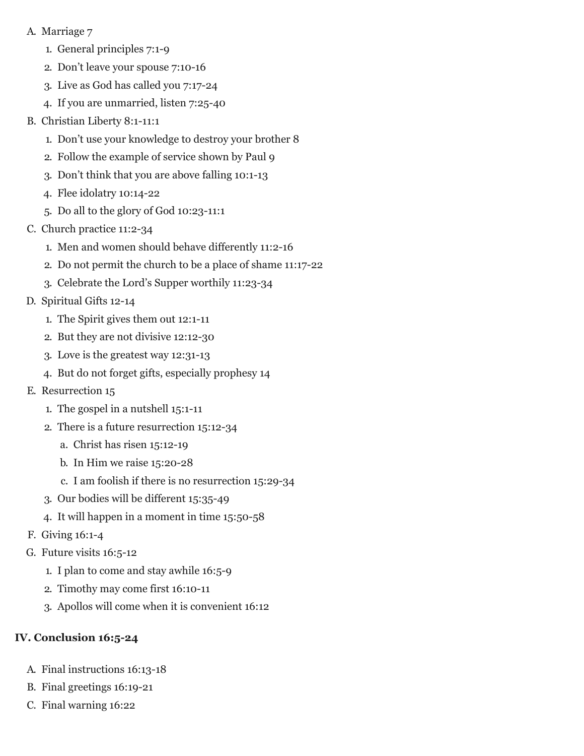- A. Marriage 7
	- 1. General principles 7:1-9
	- 2. Don't leave your spouse 7:10-16
	- 3. Live as God has called you 7:17-24
	- 4. If you are unmarried, listen 7:25-40
- B. Christian Liberty 8:1-11:1
	- 1. Don't use your knowledge to destroy your brother 8
	- 2. Follow the example of service shown by Paul 9
	- 3. Don't think that you are above falling 10:1-13
	- 4. Flee idolatry 10:14-22
	- 5. Do all to the glory of God 10:23-11:1
- C. Church practice 11:2-34
	- 1. Men and women should behave differently 11:2-16
	- 2. Do not permit the church to be a place of shame 11:17-22
	- 3. Celebrate the Lord's Supper worthily 11:23-34
- D. Spiritual Gifts 12-14
	- 1. The Spirit gives them out 12:1-11
	- 2. But they are not divisive 12:12-30
	- 3. Love is the greatest way 12:31-13
	- 4. But do not forget gifts, especially prophesy 14
- E. Resurrection 15
	- 1. The gospel in a nutshell 15:1-11
	- 2. There is a future resurrection 15:12-34
		- a. Christ has risen 15:12-19
		- b. In Him we raise 15:20-28
		- c. I am foolish if there is no resurrection 15:29-34
	- 3. Our bodies will be different 15:35-49
	- 4. It will happen in a moment in time 15:50-58
- F. Giving 16:1-4
- G. Future visits 16:5-12
	- 1. I plan to come and stay awhile 16:5-9
	- 2. Timothy may come first 16:10-11
	- 3. Apollos will come when it is convenient 16:12

## **IV. Conclusion 16:5-24**

- A. Final instructions 16:13-18
- B. Final greetings 16:19-21
- C. Final warning 16:22